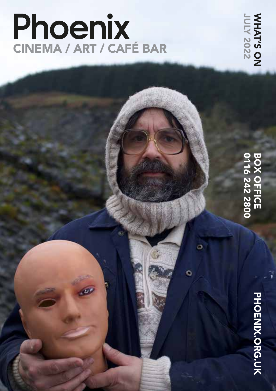# Phoenix<br>CINEMA / ART / CAFÉ BAR

**MHAT'S ON**<br>JULY 2022 JULY 2022 WHAT'S ON

# **BOX OFFICE<br>0116 242 2800** 0116 242 2800 BOX OFFICE

Ö

PHOENIX.ORG.UK PHOENIX.ORG.UK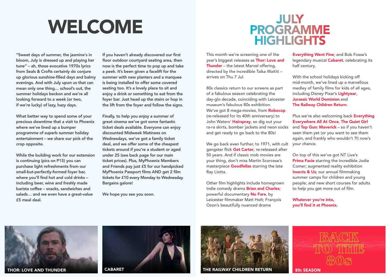# WELCOME

"Sweet days of summer, the jasmine's in bloom, July is dressed up and playing her tune" – ah, those evocative 1970s lyrics from Seals & Crofts certainly do conjure up glorious sunshine-filled days and balmy evenings. And with July upon us that can mean only one thing… school's out, the summer holidays beckon and we're all looking forward to a week (or two, if we're lucky) of lazy, hazy days.

What better way to spend some of your precious downtime that a visit to Phoenix where we've lined up a bumper programme of superb summer holiday entertainment – we share our pick of the crop opposite.

While the building work for our extension is continuing (pics on P15) you can purchase light refreshments from our small-but-perfectly-formed foyer bar, where you'll find hot and cold drinks – including beer, wine and freshly made barista coffee – snacks, sandwiches and salads… and we even have a great-value £5 meal deal.

If you haven't already discovered our first floor outdoor courtyard seating area, then now is the perfect time to pop up and take a peek. It's been given a facelift for the summer with new planters and a marquee is being installed to offer some covered seating too. It's a lovely place to sit and enjoy a drink or something to eat from the foyer bar. Just head up the stairs or hop in the lift from the foyer and follow the signs.

Finally, to help you enjoy a summer of great cinema we've got some fantastic ticket deals available. Everyone can enjoy discounted Midweek Matinees on Wednesdays, we've got a family ticket deal, and we offer some of the cheapest tickets around if you're a student or aged under 25 (see back page for our main ticket prices). Plus, MyPhoenix Members and Friends pay just £5 for our handpicked MyPhoenix Passport films AND get 2 film tickets for £10 every Monday to Wednesday. Bargains galore!

We hope you see you soon.

# **JULY<br>PROGRAMME HIGHLIGHTS**

This month we're screening one of the year's biggest releases as Thor: Love and Thunder - the latest Marvel offering, directed by the incredible Taika Waititi – arrives on Thu 7 Jul.

80s classics return to our screens as part of a fabulous season celebrating the day-glo decade, coinciding with Leicester museum's fabulous 80s exhibition. We've got 8 mega-movies, from Robocop (re-released for its 40th anniversary) to John Waters' Hairspray, so dig out your ra-ra skirts, bomber jackets and neon socks and get ready to go back to the 80s!

We go back even further, to 1971, with cult gangster flick Get Carter, re-released after 50 years. And if classic mob movies are your thing, don't miss Martin Scorcese's masterpiece Goodfellas starring the late Ray Liotta.

Other film highlights include homegrown Indie comedy drama **Brian and Charles**; powerful documentary No Fare, by Leicester filmmaker Matt Holt; François Ozon's beautifully nuanced drama

Everything Went Fine; and Bob Fosse's legendary musical **Cabaret**, celebrating its half century.

With the school holidays kicking off mid-month, we've lined up a marvellous medley of family films for kids of all ages, including Disney Pixar's Lightyear, Jurassic World Dominion and The Railway Children Return.

Plus we're also welcoming back Everything Everywhere All At Once, The Quiet Girl and Top Gun: Maverick - so if you haven't seen them yet (or you want to see them again, and frankly who wouldn't ?!) now's your chance.

On top of this we've got NT Live's **Prima Facie** starring the incredible Jodie Comer; augmented reality exhibition **Insects & Us**; our annual filmmaking summer camps for children and young people; and new short courses for adults to help you get more out of film.

Whatever you're into, you'll find it at Phoenix.







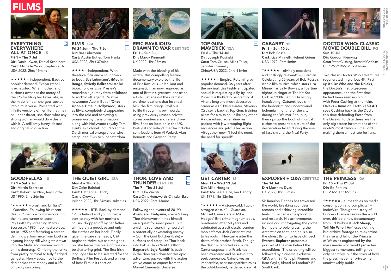



# EVERYTHING **EVERYWHERE** ALL AT ONCE 15 Fri 1 – Thu 7 Jul

Dir: Daniel Kwan, Daniel Scheinert Cast: Michelle Yeoh, Stephanie Hsu USA 2022, 2hrs 19mins

 $\star \star \star \star$  – Independent. Back by popular demand! Evelyn (Yeoh) is exhausted. Wife, mother, and business owner at the mercy of the IRS for filing her taxes late, in the midst of it all she gets sucked into a multiverse. Presented with infinite versions of her life that may be under threat, she does what any strong woman would do – deals with it. A brilliantly funny, absurd and original sci-fi action.



 $\boxed{\cdot}$ 

Cast: Austin Butler, Tom Hanks USA 2022, 2hrs 37mins

 $\star \star \star -$  Independent. With theatrical flair and a soundtrack to boot, Baz Luhrmann's (Moulin Rouge, Strictly Ballroom) stellar biopic follows Elvis Presley's remarkable journey from childhood to rock'n'roll legend. Relative newcomer Austin Butler (Once Upon a Time in Hollywood) stars as Elvis, completely disappearing into the role and achieving a praise-worthy transformation, along with Hollywood royalty Tom Hanks as Colonel Tom Parker, the Dutch musical entrepreneur who catapulted Elvis to super-stardom.



ERIC RAVILIOUS: **DRAWN TO WAR CERT TBC** Fri 1 – Sun 3 Jul Dir: Margy Kinmonth UK 2022, 1hr 27mins

 $\frac{1}{\cdot}$ 

March 2003  $\frac{1}{2}$  Cinematic Universe. 4  $\frac{1}{2}$  Cinematic Universe. 4  $\frac{1}{2}$  Cinematic Universe. 4  $\frac{1}{2}$  Cinematic Universe. 4  $\frac{1}{2}$  Cinematic Universe. 4  $\frac{1}{2}$  Cinematic Universe. 4  $\frac{1}{2}$  Cinemati Made with the blessing of his estate, this compelling feature documentary explores the life of Eric Ravilious – a brilliant and enigmatic man now regarded as one of Britain's greatest landscape artists. Set against the dramatic wartime locations that inspired him, the film brings Ravilious to life through his own words, using previously unseen private correspondence and rare archive film. Shot on location in the UK, Portugal and Ireland, the film includes contributions from Ai Weiwei, Alan Bennett and Grayson Perry.



GOODFELLAS 18 Fri 1 – Sat 2 Jul Dir: Martin Scorcese Cast: Robert De Niro, Ray Liotta US 1990, 2hrs 26mins

"  $\star \star \star \star -$  brash and brilliant" – Guardian. Following his recent death, Phoenix is commemorating the life and career of actor Ray Liotta by screening Martin Scorcese's 1990 mob masterpiece, set in 1955 and featuring a careerdefining performance from Liotta as a young Henry Hill who gets drawn into the Mafia and criminal world on his doorstep. Climbing the ranks from pretty criminal to fully fledged gangster, Henry succumbs to the darker side that money and a life of luxury can bring.



THE QUIET GIRL 12A Mon 4 – Thu 7 Jul Dir: Colm Bairéad Cast: Catherine Clinch, Carrie Crowley Ireland 2022, 1hr 34mins, subtitles

 $\star \star \star \star -$  RTE. Back by demand. 1980s Ireland and young Cáit is sent to stay with her mother's cousin, dropped off by her father with barely a goodbye and only the clothes on her back. Finally given the care she needs, Cáit begins to thrive but as time goes on, she learns the price of love can be shattering grief. The first Irish language film to be selected for the Berlinale Film Festival, and winner of Best Film in its section.



### THOR: LOVE AND **THUNDER CERT TBC** Thu 7 – Thu 21 Jul Dir: Taika Waititi Cast: Chris Hemsworth, Christian Bale USA 2022, 2hrs 13mins

Following the events of 2019's Avengers: Endgame, space Viking Thor (Hemsworth) finds himself on a quest for inner peace. But amid his soul-searching, word of a potentially devastating enemy – Gorr the God Butcher (Bale) – surfaces and catapults Thor back into battle. Taika Waititi (Thor: Ragnarok, Jojo Rabbit) is back in the director's chair for this epic adventure, packed with the action we've come to expect from the<br>Marvel Cinematic Universe.



TOP GUN: MAVERICK 12A Fri 8 – Thu 14 Jul Dir: Joseph Kosinski Cast: Tom Cruise, Miles Teller, Jennifer Connelly China/USA 2022, 2hrs 11mins

 $\star \star \star \star$  – Empire. Returning by popular demand. 36 years after the original, this highly anticipated sequel is requesting a fly-by, and Phoenix is thrilled to be granting it. After a long and much-decorated career as a US Navy aviator, Maverick (Cruise) is back at Top Gun, training pilots for a mission unlike any other. A guaranteed adrenaline rush, packed with jaw-dropping flight sequences and jet-fuelled action. Altogether now, "I feel the need, the need for speed!"



GET CARTER 18 Mon 11 – Wed 13 Jul Dir: Mike Hodges Cast: Michael Caine, Ian Hendry UK 1971, 1hr 52mins

 $"\star\star\star\star$  – A stone-cold, liquidnitrogen classic" – Guardian. Michael Caine stars in Mike Hodges' Brit-crime magnum opus, re-released after 50 years and celebrated as a cult classic. London mob enforcer Jack Carter returns to his roots in Newcastle after the death of his brother, Frank. Though the death is reported as suicide, Carter suspects that Frank has been murdered and he sets out to seek vengeance. Caine gives an impeccable, near-sociopathic turn as the cold-blooded, hardened criminal.



CARARET<sub>15</sub> Fri 8 – Sun 10 Jul Dir: Bob Fosse Cast: Liza Minnelli, Helmut Griem USA 1972, 2hrs 4mins

"  $\star \star \star \star$  – divinely decadent and chillingly relevant" – Guardian. Celebrating 50 years of Bob Fosse's iconic film musical which stars Liza Minnelli as Sally Bowles, a libertine nightclub singer at The Kit Kat Club in 1930s Berlin. Dizzyingly intoxicating, Cabaret revels in the hedonism and underground bohemian nightlife of the city during the Weimar Republic, then rips up the book of musical clichés to present a picture of the desperation faced during the rise of fascism and the Nazi Party.

EXPLORER + Q&A CERT TBC Thu 14 Jul Dir: Matthew Dyas UK 2022, 1hr 53mins

Sir Ranulph Fiennes has traversed the world, breaking countless records and achieving incredible feats in the name of exploration and research. His achievements include circumnavigating the globe from pole to pole, crossing the Antarctic on foot, and he is also the oldest Briton to have climbed Everest. Explorer presents a portrait of the man behind the expeditions. The screening will be followed by a cinema-exclusive Q&A with Sir Ranulph Fiennes and Bear Grylls, filmed at London's BFI Southbank.



DOCTOR WHO: CLASSIC MOVIE DOUBLE BILL PG Sun 10 Jul

Dir: Gordon Flemyng Cast: Peter Cushing, Bernard Cribbins UK 1965/1966, 2hrs 47mins

Two classic Doctor Who adventures regenerated in glorious 4K. First up it's Dr Who and the Daleks, the Doctor's first big-screen appearance, and the first time he had been seen in colour, with Peter Cushing at the helm. Daleks – Invasion Earth 2150 AD sees Cushing back as the Doctor, this time defending Earth from the Daleks. To date these are the only big screen incarnations of the world's most famous Time Lord, making them a must-see for fans.



THE PRINCESS 12A Fri 15 – Thu 21 Jul Dir: Ed Perkins UK 2022, 1hr 46mins

"  $\star \star \star \star -$  turns tables on media consumption and complicity" – IndieWire. Though the story of Princess Diana is known the world over, this bold new documentary from Ed Perkins (Black Sheep, Tell Me Who I Am) uses nothing but archive footage to re-examine the rise and fall of the Princess of Wales as engineered by the mass media who would prove her biggest tormentors, telling not only her story, but the story of how the press made her private life unmistakably public.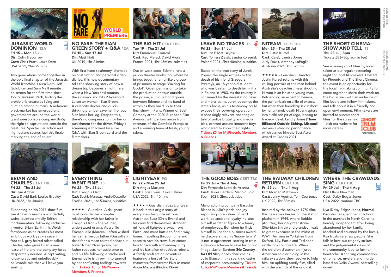

 $\overline{\overline{\omega}}$ 

 $\frac{...}{\cdot)}$ 

JURASSIC WORLD DOMINION 12A Fri 15 – Mon 18 Jul Dir: Colin Trevorrow Cast: Chris Pratt, Laura Dern USA 2022, 2hrs 27mins

Two generations come together in the epic final chapter of the Jurassic World franchise. Laura Dern, Jeff Goldblum and Sam Neill reunite on screen for the first time since 1993's Jurassic Park, finding the prehistoric creatures living and hunting among humans. A nefarious black-market has emerged and governments around the world grant questionable company BioSyn the right to capture and contain the creatures. Spectacular action and high octane scenes fuel this finale marking the end of an era.



NO FARE: THE SIAN GREEN STORY + Q&A 12A Fri 15 – Sun 17 Jul Dir: Matt Holt UK 2019, 1hr 21mins

With first-hand testimony, dramatic reconstruction and personal video diaries, this new documentary tells the shocking story of how a dream trip becomes a nightmare when a New York taxi mounts the sidewalk and hits 23-year-old Leicester woman, Sian Green. A celebrity doctor and quickthinking plumber save her life, but Sian loses her leg. Despite this, there's no compensation for her or punishment for the driver. Friday's screening is followed by a live Q&A with Sian Green-Lord and the filmmakers.



THE BIG HIT CERT TBC Tue 19 – Thu 21 Jul Dir: Emmanuel Courcol Cast: Kad Merad, David Ayala France 2021, 1hr 45mins, subtitles

Out-of-work actor Étienne runs a prison theatre workshop, where he brings together an unlikely group of prisoners to stage 'Waiting for Godot'. Given permission to take the production on tour outside the prison, a unique bond grows between Étienne and his band of actors as they build up to their final show in Paris. Winner of Best Comedy at the 2020 European Film Awards, with performances from veterans of the Comédie Française and a winning team of fresh, young talent.



LEAVE NO TRACES 15 Fri 22 – Sun 24 Jul Dir: Jan P Matuszynski Cast: Tomasz Zietek, Sandra Korzeniak Poland 2021, 2hrs 40mins, subtitles

Based on the true story of Jurek Popiel, the single witness to the death of his friend Grzegorz Przemyk, an 18-year-old student who was beaten to death by militia in Poland in 1983. As the country is consumed by the devastating news and moral panic, Jurek becomes the state's focus, as his testimony could expose their cover-up operation. A shockingly relevant and tangled tale of police brutality and media bias, centred around innocent boys who dared to know their rights. Tickets £5 for MyPhoenix Members & Friends.



NITRAM CERT TBC Mon 25 – Thu 28 Jul Dir: Justin Kurzel Cast: Caleb Landry Jones, Judy Davis, Anthony LaPaglia Australia 2021, 1hr 52mins

**★★★★★ – Guardian. Director** Justin Kurzel returns with this chilling portrait of the man behind Australia's deadliest mass shooting. Nitram is an isolated young man. Befriending an eccentric heiress, the pair embark on a life of excess, but when their friendship is cut short by her untimely death Nitram spirals into a nihilistic pit of rage, leading to tragedy. Caleb Landry Jones (Three Billboard Outside Ebbing, Missouri) delivers a stunning performance which earned him the Best Actor Award at Cannes 2021.



Thu 28 Jul, 8pm

Tickets £5 (+50p admin fee)

invited to submit short

See amazing short films by local talent at our regular screening night for local filmmakers. Hosted by Phoenix and The Short Cinema, the event is an opportunity for the local filmmaking community to come together, share their work on the big screen with an audience of film lovers and fellow filmmakers, and talk about it in a friendly and open environment. Filmmakers are



BRIAN AND CHARLES CERT TBC Fri 22 – Thu 28 Jul Dir: Jim Archer Cast: David Earl, Louise Brealey UK 2022, 1hr 30mins

Expanding on his 2017 short film, Jim Archer presents a wonderfully weird, quintessentially British mockumentary, following reclusive inventor Brian (Earl) in his Welsh farmhouse as he creates his most ambitious work yet – a sevenfoot-tall, grey haired robot called Charles, who gives Brian a new lease of life and the company he so desperately needed. A captivating, idiosyncratic and unbelievably believable tale that will leave you smiling.



EVERYTHING WENT FINE 15 Fri 22 – Thu 28 Jul Dir: François Ozon Cast: Sophie Marceau, André Dussollier Fra/Bel 2021, 1hr 53mins, subtitles

**★★★★** – Guardian. A daughter must consider her complex relationship with her father in François Ozon's finely-tuned, understated drama. As a child Emmanuelle (Marceau) often wished her cantankerous father (Dussollier) dead for his mean-spirited behaviour towards her. Now grown, her father requests her assistance to end his life following a stroke and Emmanuelle is thrown into turmoil by her conflicting feelings towards him. Tickets £5 for MyPhoenix Members & Friends.



LIGHTYEAR PG Fri 22 – Mon 25 Jul Dir: Angus Maclane Cast: Chris Evans, Keke Palmer USA 2022, 1hr 40mins

**★ ★ ★ → Guardian. Buzz Lightyear** is back in this origin story of everyone's favourite astronaut. Astronaut Buzz (Chris Evans) and his crew find themselves stranded millions of lightyears away from Earth, and must battle to find a way home. Travelling through time and space to save his crew, Buzz comes face to face with arch-enemy Zurg and his battalion of ruthless robots. A family sci-fi action adventure featuring a host of Toy Story characters, from veteran Pixar animator Angus Maclane (Finding Dory).

THE GOOD BOSS CERT TBC. Fri 29 Jul – Thu 4 Aug Dir: Fernando León de Aranoa Cast: Javier Bardem, Manolo Solo Spain 2021, 2hrs, subtitles

Manufacturing company Basculas Blanco is Julio's pride and joy – espousing core values of hard work, balance and loyalty, he sees himself as father figure to a family of employees. But when he finds himself in line for a business award, he discovers that his 'happy family' is not in agreement, setting in train a devious scheme to save his public image. Javier Bardem (No Country for Old Men) oozes charisma as Julio Blanco in this sparkling satire of corporate accountability. Tickets £5 for MyPhoenix Members & Friends.



THE RAILWAY CHILDREN **RETURN CERT TBC**  $\overline{\phantom{a}}$ Fri 29 Jul – Thu 4 Aug  $\boxed{\cdot}$ Dir: Morgan Matthews Cast: Jenny Agutter, Tom Courtenay UK 2022, 1hr 38mins

Inspired by the beloved 1970 film, this new story begins on the station platform in 1944, where Bobbie (Agutter), her daughter Annie (Sheridan Smith) and grandson wait to greet evacuees in the midst of WWII. Arriving in Yorkshire from Salford, Lily, Pattie and Ted soon settle into country life. When the children discover an injured American soldier hiding in the railway station, they resolve to help him. An uplifting family film, filled with the warmth of the original.

WHERE THE CRAWDADS SING CERT TBC Fri 29 Jul – Thu 4 Aug Dir: Olivia Newman Cast: Daisy Edgar-Jones USA 2022, runtime TBC

 $\frac{1}{\cdot}$ 

 $6|7$ 

Kya (Daisy Edgar-Jones, Normal People) has spent her childhood in the marshes in North Carolina, fiercely independent after being abandoned by her family. Mocked and shunned by the locals, Kya trusts very few people. She falls in love but tragedy strikes and the judgemental views of the community lead to further heartache. A thrilling combination of romance, mystery and murder, based on Delia Owens' bestselling novel.

**BOX OFFICE**<br>0116 242 2800 6 THOT PHONE DOOR CHARGES AND RELEASED AND RELEASED AND RELEASED AND RELEASED AND RELEASED AND RELEASED AND RELEASED AND RELEASED AND RELEASED AND RELEASED AND RELEASED AND RELEASED AND RELEASED AND RELEASED AND RELEASED A THE SHORT CINEMA: SHOW AND TELL 18 **BOOK ONLINE**<br>PHOENIX.ORG.UK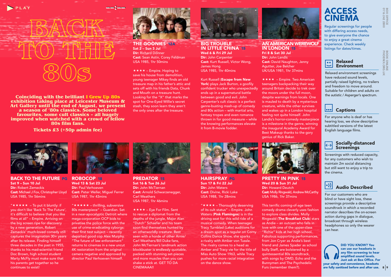



**Coinciding with the brilliant I Grew Up 80s exhibition taking place at Leicester Museum & Art Gallery until the end of August, we present a season of '80s classics. Some beloved improved when watched with a crowd of fellow 80s film fans.**

THE GOONIES 12A  $Sat 2 - Sun 3$  Jul Dir: Richard Donner Cast: Sean Astin, Corey Feldman USA 1985, 1hr 50mins

 $\star \star \star \star$  – Empire. Hoping to save his house from demolition, young teenager Mikey finds an old treasure map in his father's attic and sets off with his friends Data, Chunk and Mouth on a treasure hunt. Looking for the "X" that marks the spot for One-Eyed Willie's secret stash, they soon learn they aren't the only ones after the treasure.

# **BIG TROUBLE** IN LITTLE CHINA 15

Wed 6 & Fri 29 Jul Dir: John Carpenter Cast: Kurt Russell, Victor Wong, James Hong USA 1985, 1hr 40mins

Kurt Russell (Escape from New York) plays Jack Burton, a goofily confident trucker who unexpectedly ends up in a supernatural battle between good and evil. John Carpenter's cult classic is a perfect genre-busting mash-up of comedy and 80s action – with martial arts, fantasy tropes and even romance thrown in for good measure – while the knowing performances elevate it from B-movie fodder.

![](_page_4_Picture_10.jpeg)

## AN AMERICAN WEREWOLF IN LONDON 15 Fri 8 & Sat 30 Jul Dir: John Landis Cast: David Naughton, Jenny Agutter, Joe Belcher UK/USA 1981, 1hr 37mins

 $\star \star \star \star$  – Empire. Two American teenagers backpacking their way around Britain decide to trek over the moors under the full moon, despite warnings from locals. One is mauled to death by a mysterious creature, while the other survives and wakes up in a London hospital feeling not quite himself. John Landis's horror-comedy masterpiece is a milestone in the genre, winning the inaugural Academy Award for Best Makeup thanks to the gory genius of Rick Baker.

![](_page_4_Picture_13.jpeg)

## PRETTY IN PINK 15 Wed 20 & Sun 31 Jul Dir: Howard Deutch Cast: Molly Ringwald, Andrew McCarthy USA 1986, 1hr 37mins

This terrific coming-of-age teen comedy drama cleverly uses fashion to explore class divides. Molly Ringwald (The Breakfast Club) stars as Andie – an outcast who falls in love with one of the upper-class "Richie" kids at her high school. Fabulous supporting performances, from Jon Cryer as Andie's best friend and James Spader as school bully Steff, are bolstered by a quintessential 80s soundtrack, with songs by OMD, Echo and the Bunnymen and The Psychedelic Furs (remember them?).

# **ACCESS CINEMA**

Regular screenings for people with differing access needs. to give everyone the chance to enjoy a great cinema experience. Check weekly listings for dates/times.

# **Relaxed** Environment

Relaxed environment screenings have reduced sound levels, partially raised lighting, no trailers and freedom to move around. Suitable for children and adults on the autistic / Asperger's spectrum.

#### $|...|$ **Captions**

For anyone who is deaf or has hearing loss, we show descriptive subtitled versions of the latest English language films.

# $\overline{a}$  $\overline{\leftrightarrow}$  Socially-distanced<br>Screenings

Screenings with reduced capacity, for any customers who wish to maintain 2m social distancing but still want to enjoy a trip to the cinema.

![](_page_4_Picture_24.jpeg)

For our customers who are blind or have sight loss, these screenings provide a descriptive soundtrack in which a recorded narrator describes the on-screen action during gaps in dialogue, broadcast through wireless headphones so only the wearer can hear.

are fully sanitised before and after use.  $8 \mid 9$ DID YOU KNOW? You can use our headsets in any film screening to hear amplified sound levels. Just ask at Box Office. For your safety and convenience, headsets

**Tickets £3 (+50p admin fee)**

![](_page_4_Picture_28.jpeg)

### BACK TO THE FUTURE PG Sat 9 – Sun 10 Jul Dir: Robert Zemeckis Cast: Michael J Fox, Christopher Lloyd USA 1985, 1hr 56mins

"  $\star \star \star \star$  – To put it bluntly: if you don't like 'Back To The Future', it's difficult to believe that you like films at all" – Empire. Arriving on the big screen ripe for discovery by a new generation, Robert Zemeckis' much-loved comedy still captures the imagination 30+ years after its release. Finding himself three decades in the past in 1955, thanks to his mad-scientist friend Doc Brown, high school student Marty McFly must make sure that his parents get together so he continues to exist!

![](_page_4_Picture_31.jpeg)

"  $\star \star \star \star -$  thrilling, subversive 80s masterpiece" – Guardian. Set in a near-apocalyptic Detroit where mega-corporation OCP bids to privatise the police force with the use of crime-eradicating cyborgs: their first test subject – recently departed good cop Alex Murphy. "The future of law enforcement" returns to cinemas in a new uncut 4K restoration from the original camera negative and approved by director Paul Verhoeven himself.

![](_page_4_Picture_33.jpeg)

PREDATOR 15 Sat 16 & Tue 26 Jul Dir: John McTiernan Cast: Arnold Schwarzenegger, Carl Weathers USA 1987, 1hr 46mins

 $\star \star \star -$  Eye For Film. Sent to rescue a diplomat from the depths of the jungle, Major Alan "Dutch" Schaefer and his team soon find themselves hunted by an otherworldly creature. Best seen with a horde of other Arnie/ Carl Weathers/Bill Duke fans, John McTiernan's landmark action blockbuster is endlessly quotable, packed with stunning set-pieces and more muscles than you can shake a stick at. GET TO DA CINEMAAA!!

![](_page_4_Picture_36.jpeg)

HAIRSPRAY PG Sun 17 & Fri 22 Jul Dir: John Waters Cast: Divine, Ricki Lake USA 1988, 1hr 28mins

"  $\star \star \star$  – Thoroughly deserving of its cult status" – Empire. John Waters (Pink Flamingos) is in the driving seat for this wild ride of a musical comedy. When teenager Tracy Turnblad (Lake) auditions for a dream spot as a regular on Corny Collins Dance Show, she sparks a rivalry with Amber von Tussle. The rivalry comes to a head as Amber and Tracy vie for the title of Miss Auto Show 1963, while Tracy pushes for more racial integration on the dance show.

PHOENIX.ORG.UK BOOK ONLINE

**BOOK ONLINE**<br>PHOENIX.ORG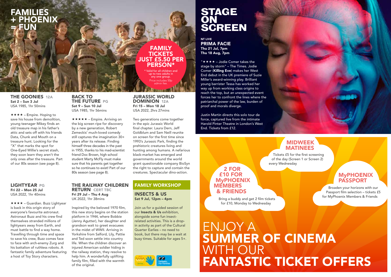# FAMILIES + PHOENIX  $\neg F$ UN

THE GOONIES 12A Sat 2 – Sun 3 Jul USA 1985, 1hr 50mins

 $\star \star \star -$  Empire. Hoping to save his house from demolition, young teenager Mikey finds an old treasure map in his father's attic and sets off with his friends Data, Chunk and Mouth on a treasure hunt. Looking for the "X" that marks the spot for One-Eyed Willie's secret stash, they soon learn they aren't the only ones after the treasure. Part of our 80s season (see page 8).

LIGHTYEAR PG Fri 22 – Mon 25 Jul USA 2022, 1hr 40mins

**★ ★ ★ +** Guardian. Buzz Lightyear is back in this origin story of everyone's favourite astronaut. Astronaut Buzz and his crew find themselves stranded millions of lightyears away from Earth, and must battle to find a way home. Travelling through time and space to save his crew, Buzz comes face to face with arch-enemy Zurg and his battalion of ruthless robots. A fantastic family adventure featuring a host of Toy Story characters.

### BACK TO THE FUTURE PG Sat 9 – Sun 10 Jul USA 1985, 1hr 56mins

 $\star \star \star \star$  – Empire. Arriving on the big screen ripe for discovery by a new generation, Robert Zemeckis' much-loved comedy still captures the imagination 30+ years after its release. Finding himself three decades in the past in 1955, thanks to his mad-scientist friend Doc Brown, high school student Marty McFly must make sure that his parents get together so he continues to exist! Part of our 80s season (see page 8).

**RETURN CERT TBC** Fri 29 Jul – Thu 4 Aug UK 2022, 1hr 38mins

Inspired by the beloved 1970 film, this new story begins on the station platform in 1944, where Bobbie (Jenny Agutter), her daughter and grandson wait to greet evacuees in the midst of WWII. Arriving in Yorkshire from Salford, Lily, Pattie and Ted soon settle into country life. When the children discover an injured American soldier hiding in the railway station, they resolve to help him. A wonderfully uplifting family film, filled with the warmth of the original.

# STAGE ON **SCREEN**

NT LIVE PRIMA FACIE Thu 21 Jul, 7pm Thu 18 Aug, 7pm

"  $\star \star \star$  – Jodie Comer takes the stage by storm" – The Times. Jodie Comer (Killing Eve) makes her West End debut in the UK premiere of Suzie Miller's award-winning play. Brilliant young barrister Tessa has worked her way up from working class origins to reach the top, but an unexpected event forces her to confront the lines where the patriarchal power of the law, burden of proof and morals diverge.

Justin Martin directs this solo tour de force, captured live from the intimate Harold Pinter Theatre in London's West End. Tickets from £12.

# MIDWEEK MATINEES

Tickets £5 for the first screening of the day (Screen 1 or Screen 2) every Wednesday

**March March 11** 

# 2 FOR £10 FOR **MyPHOENIX MEMBERS** & FRIENDS

Bring a buddy and get 2 film tickets for £10, Monday to Wednesday

# **MyPHOENIX PASSPORT**

Broaden your horizons with our Passport film selection – tickets £5 for MyPhoenix Members & Friends

# ENJOY A SUMMER OF CINEMA WITH OUR FANTASTIC TICKET OFFERS

# THE RAILWAY CHILDREN

# FAMILY WORKSHOP

INSECTS & US Sat 9 Jul, 12pm – 4pm

JURASSIC WORLD DOMINION 12A Fri 15 – Mon 18 Jul USA 2022, 2hrs 27mins

FAMILY **TICKETS** JUST £5.50 PER PERSON\* Valid for all children and up to two adults in any one group. rice includes 50r admin fee.

Two generations come together in the epic Jurassic World final chapter. Laura Dern, Jeff Goldblum and Sam Neill reunite on screen for the first time since 1993's Jurassic Park, finding the prehistoric creatures living and hunting among humans. A nefarious black-market has emerged and governments around the world grant questionable company BioSyn the right to capture and contain the creatures. Spectacular dino-action.

Join us for a guided session of our Insects & Us exhibition, alongside some fun insectrelated activities. This is a dropin activity as part of the Cultural Quarter Earlies – no need to book, but there may be a wait at busy times. Suitable for ages 5+.

![](_page_5_Picture_25.jpeg)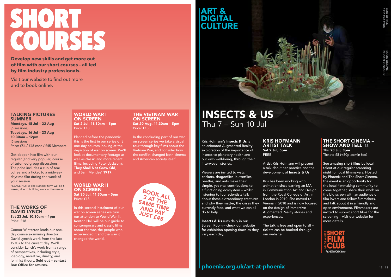# SHORT COURSES

**Develop new skills and get more out of film with our short courses – all led by film industry professionals.** 

Visit our website to find out more and to book online.

# ART & DIGITAL **CULTURE**

# TALKING PICTURES SUMMER

Mondays, 15 Jul – 22 Aug (6 sessions) Tuesdays, 16 Jul – 23 Aug 10.30am – 12pm (6 sessions) Price: £54 / £48 conc / £45 Members

Get deeper into film with our regular (and very popular) course of tutor-led group discussions. The price includes a cup of tea/ coffee and a ticket to a midweek daytime film during the week of your session. PLEASE NOTE: The summer term will be 6

weeks, due to building work at the venue.

### THE WORKS OF DAVID LYNCH Sat 23 Jul, 10.30am – 4pm Price: £18

Connor Winterton leads our oneday course examining director David Lynch's work from the late 1970s to the current day. We'll consider Lynch's work from a range of perspectives, including style, ideology, narrative, duality, and feminist theory. Sold out – contact Box Office for returns.

### WORLD WAR I ON SCREEN Sat 2 Jul, 11.30am – 5pm Price: £18

Planned before the pandemic, this is the first in our series of 3 one-day courses looking at the depiction of war on screen. We'll look at documentary footage as well as classic and more recent films, including Peter Jackson's They Shall Not Grow Old, and Sam Mendes' 1917.

WORLD WAR II ON SCREEN Sat 30 Jul, 11.30am – 5pm Price: £18

In this second instalment of our war on screen series we turn our attention to World War II. Kenton Hall will be our quide to contemporary and classic films about the war, the people who experienced it and the way it changed the world.

### THE VIETNAM WAR ON SCREEN Sat 20 Aug, 11.30am – 5pm Price: £18

In the concluding part of our war on screen series we take a visual tour through key films about the Vietnam War, and consider how the conflict changed both cinema and American society itself.

![](_page_6_Picture_18.jpeg)

# INSECTS & US Thu 7 – Sun 10 Jul

Kris Hofmann's Insects & Us is an animated Augmented Reality exploration of the importance of insects to planetary health and our own well-being, through their interwoven stories.

Viewers are invited to watch crickets, dragonflies, butterflies, beetles, and ants make their simple, yet vital contributions to a functioning ecosystem – whilst listening to four scientists talk about these extraordinary creatures and why they matter, the crises they currently face, and what we can all do to help.

**Insects & Us** runs daily in our Screen Room – check our website for exhibition opening times as they vary each day.

### KRIS HOFMANN ARTIST TALK Sat 9 Jul, 5pm FREE

Artist Kris Hofmann will present a talk about her practice and the development of Insects & Us.

Kris has been working with animation since earning an MA in Communication Art and Design from the Royal College of Art in London in 2010. She moved to Vienna in 2018 and is now focused on the design of immersive Augmented Reality stories and experiences.

The talk is free and open to all – tickets can be booked through our website.

# THE SHORT CINEMA – **SHOW AND TELL 18** Thu 28 Jul, 8pm Tickets £5 (+50p admin fee)

See amazing short films by local talent at our regular screening night for local filmmakers. Hosted by Phoenix and The Short Cinema, the event is an opportunity for the local filmmaking community to come together, share their work on the big screen with an audience of film lovers and fellow filmmakers. and talk about it in a friendly and open environment. Filmmakers are invited to submit short films for the screening – visit our website for more details.

![](_page_6_Picture_29.jpeg)

# phoenix.org.uk/art-at-phoenix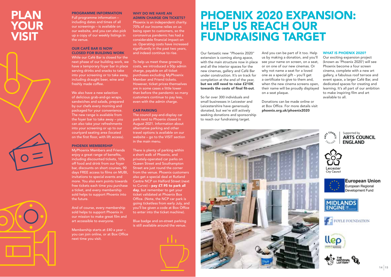# PLAN YOUR VISIT

![](_page_7_Picture_1.jpeg)

![](_page_7_Picture_2.jpeg)

![](_page_7_Picture_3.jpeg)

PROGRAMME INFORMATION Full programme information – including dates and times of all our screenings – is available on our website, and you can also pick up a copy of our weekly listings in the venue.

#### OUR CAFÉ BAR IS NOW

CLOSED FOR BUILDING WORK While our Café Bar is closed for the next phase of our building work, we To help us meet these growing have a temporary foyer bar in place serving drinks and snacks to take into your screening or to take away, including draught beer, wine and freshly made coffee.

We also have a new selection of delicious grab-and-go wraps, sandwiches and salads, prepared by our chefs every morning and packaged for your convenience. The new range is available from the foyer bar to take away – you can also take your refreshments into your screening or up to our courtyard seating area (located on the first floor, with lift access).

### PHOENIX MEMBERSHIP

MyPhoenix Members and Friends enjoy a great range of benefits, including discounted tickets, 10% off food and drink from our foyer bar, discounts on short courses, 90 days FREE access to films on MUBI, invitations to special events and more. You also earn points towards free tickets each time you purchase a ticket, and every membership sold helps to support Phoenix into the future.

And of course, every membership sold helps to support Phoenix in our mission to make great film and art accessible to everyone.

Membership starts at £40 a year – you can join online, or at Box Office next time you visit.

#### WHY DO WE HAVE AN

ADMIN CHARGE ON TICKETS? Phoenix is an independent charity. 70% of our income relies on us being open to customers, so the coronavirus pandemic has had a considerable financial impact on us. Operating costs have increased significantly in the past two years, and indeed continue to rise.

costs, we introduced a 50p admin charge, payable on all ticket purchases excluding MyPhoenix Member and Friend tickets. However, ticket prices themselves are in some cases a little lower than before the pandemic so many customers continue to pay less, even with the admin charge.

#### CAR PARKING

The council pay-and-display car park next to Phoenix closed in August 2021. Information about alternative parking and other travel options is available on our website – go to the VISIT section in the main menu.

There is plenty of parking within a short walk of Phoenix, and privately-operated car parks on Queen Street and Southampton Street are just round the corner from the venue. Phoenix customers also get a special deal at Rutland Centre NCP on Halford Street (next to Curve) – pay £7.95 to park all day, but remember to get your ticket validated at Phoenix Box Office. (Note, the NCP car park is going ticketless from early July, and you'll be given a code at Box Office to enter into the ticket machine).

Blue badge and on-street parking is still available around the venue.

![](_page_7_Picture_19.jpeg)

# PHOENIX 2020 EXPANSION: HELP US REACH OUR FUNDRAISING TARGET

on a seat plaque.

And you can be part of it too. Help us by making a donation, and you'll see your name on screen, on a seat, or on one of our new cinemas. Or why not name a seat for a loved one as a special gift – you'll get a certificate to give to them and, when the new cinema screens open. their name will be proudly displayed

Donations can be made online or at Box Office. For more details visit phoenix.org.uk/phoenix2020

Our fantastic new "Phoenix 2020" extension is coming along apace, with the main structure now in place and all the interior spaces for the new cinemas, gallery and Café Bar under construction. It's on track for completion at the end of the year, but we still need to raise £210K towards the costs of final fit-out.

So far over 300 individuals and small businesses in Leicester and Leicestershire have generously donated, but we're still actively seeking donations and sponsorship to reach our fundraising target.

![](_page_7_Picture_23.jpeg)

### WHAT IS PHOENIX 2020?

Our exciting expansion project (known as 'Phoenix 2020') will see Phoenix become a four screen cinema, complete with a new art gallery, a fabulous roof terrace and event space, a larger Café Bar, and dedicated spaces for creating and learning. It's all part of our ambition to make inspiring film and art available to all.

![](_page_7_Picture_26.jpeg)

![](_page_7_Picture_27.jpeg)

**European Union** European Regional Development Fund

![](_page_7_Picture_29.jpeg)

![](_page_7_Picture_30.jpeg)

![](_page_7_Picture_31.jpeg)